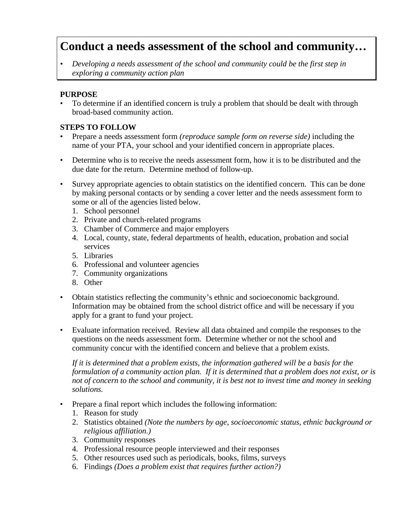## **Conduct a needs assessment of the school and community…**

*• Developing a needs assessment of the school and community could be the first step in exploring a community action plan*

## **PURPOSE**

• To determine if an identified concern is truly a problem that should be dealt with through broad-based community action.

## **STEPS TO FOLLOW**

- Prepare a needs assessment form *(reproduce sample form on reverse side)* including the name of your PTA, your school and your identified concern in appropriate places.
- Determine who is to receive the needs assessment form, how it is to be distributed and the due date for the return. Determine method of follow-up.
- Survey appropriate agencies to obtain statistics on the identified concern. This can be done by making personal contacts or by sending a cover letter and the needs assessment form to some or all of the agencies listed below.
	- 1. School personnel
	- 2. Private and church-related programs
	- 3. Chamber of Commerce and major employers
	- 4. Local, county, state, federal departments of health, education, probation and social services
	- 5. Libraries
	- 6. Professional and volunteer agencies
	- 7. Community organizations
	- 8. Other
- Obtain statistics reflecting the community's ethnic and socioeconomic background. Information may be obtained from the school district office and will be necessary if you apply for a grant to fund your project.
- Evaluate information received. Review all data obtained and compile the responses to the questions on the needs assessment form. Determine whether or not the school and community concur with the identified concern and believe that a problem exists.

*If it is determined that a problem exists, the information gathered will be a basis for the formulation of a community action plan. If it is determined that a problem does not exist, or is not of concern to the school and community, it is best not to invest time and money in seeking solutions.*

- Prepare a final report which includes the following information:
	- 1. Reason for study
	- 2. Statistics obtained *(Note the numbers by age, socioeconomic status, ethnic background or religious affiliation.)*
	- 3. Community responses
	- 4. Professional resource people interviewed and their responses
	- 5. Other resources used such as periodicals, books, films, surveys
	- 6. Findings *(Does a problem exist that requires further action?)*